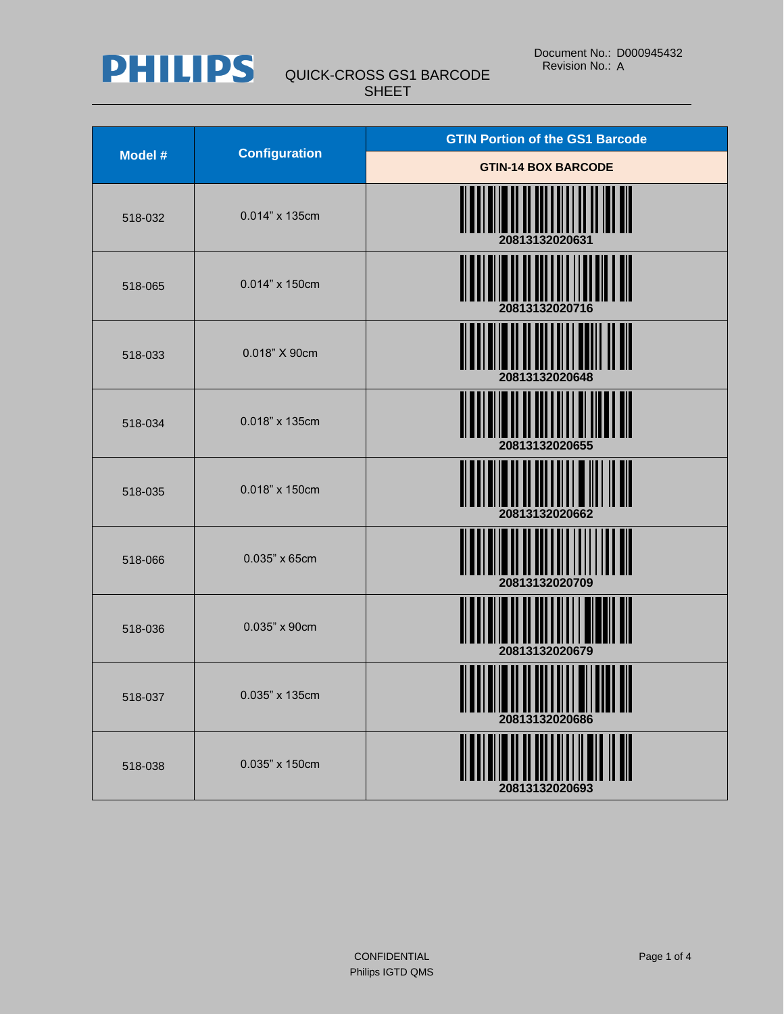

| Model # | <b>Configuration</b> | <b>GTIN Portion of the GS1 Barcode</b> |
|---------|----------------------|----------------------------------------|
|         |                      | <b>GTIN-14 BOX BARCODE</b>             |
| 518-032 | 0.014" x 135cm       | 20813132020631                         |
| 518-065 | 0.014" x 150cm       | 20813132020716                         |
| 518-033 | 0.018" X 90cm        | 20813132020648                         |
| 518-034 | 0.018" x 135cm       | 20813132020655                         |
| 518-035 | 0.018" x 150cm       | 20813132020662                         |
| 518-066 | 0.035" x 65cm        | 20813132020709                         |
| 518-036 | 0.035" x 90cm        | 20813132020679                         |
| 518-037 | 0.035" x 135cm       |                                        |
| 518-038 | 0.035" x 150cm       | 20813132020693                         |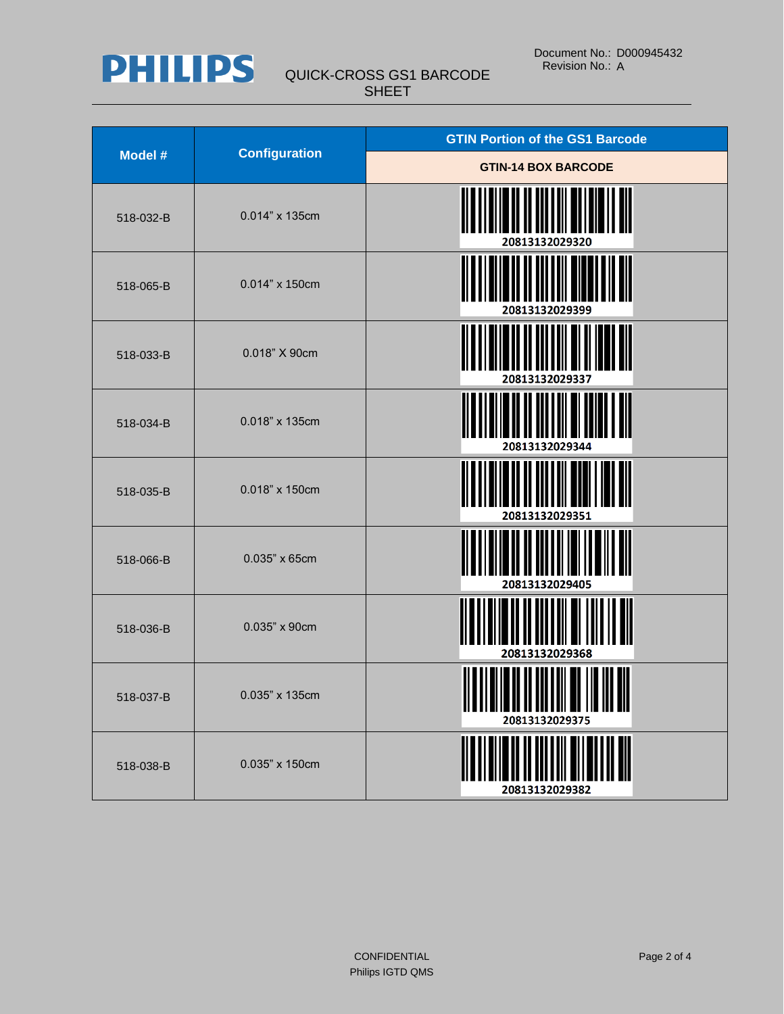

| <b>Model #</b> | <b>Configuration</b> | <b>GTIN Portion of the GS1 Barcode</b>                                            |
|----------------|----------------------|-----------------------------------------------------------------------------------|
|                |                      | <b>GTIN-14 BOX BARCODE</b>                                                        |
| 518-032-B      | 0.014" x 135cm       | 20813132029320                                                                    |
| 518-065-B      | 0.014" x 150cm       | 20813132029399                                                                    |
| 518-033-B      | 0.018" X 90cm        | 20813132029337                                                                    |
| 518-034-B      | 0.018" x 135cm       | 20813132029344                                                                    |
| 518-035-B      | 0.018" x 150cm       | 20813132029351                                                                    |
| 518-066-B      | 0.035" x 65cm        | 20813132029405                                                                    |
| 518-036-B      | 0.035" x 90cm        | 20813132029368                                                                    |
| 518-037-B      | 0.035" x 135cm       | ∥<br><u> 11 A 11 AN 110 AN 110 AN 1111 AN 1111 AN 1111 AN 1</u><br>20813132029375 |
| 518-038-B      | 0.035" x 150cm       | WWW<br>20813132029382                                                             |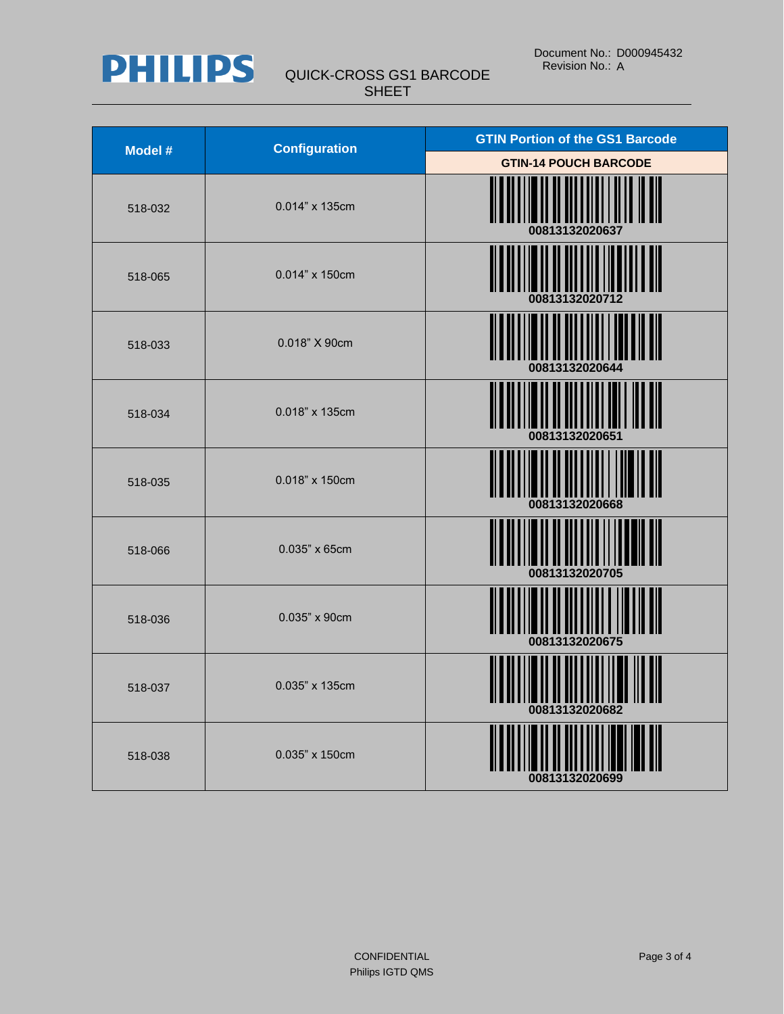

| Model # | <b>Configuration</b> | <b>GTIN Portion of the GS1 Barcode</b> |
|---------|----------------------|----------------------------------------|
|         |                      | <b>GTIN-14 POUCH BARCODE</b>           |
| 518-032 | 0.014" x 135cm       | 00813132020637                         |
| 518-065 | 0.014" x 150cm       | 00813132020712                         |
| 518-033 | 0.018" X 90cm        | 00813132020644                         |
| 518-034 | 0.018" x 135cm       | 00813132020651                         |
| 518-035 | 0.018" x 150cm       | 00813132020668                         |
| 518-066 | 0.035" x 65cm        | 00813132020705                         |
| 518-036 | 0.035" x 90cm        | 00813132020675                         |
| 518-037 | 0.035" x 135cm       | 00813132020682                         |
| 518-038 | 0.035" x 150cm       | 00813132020699                         |